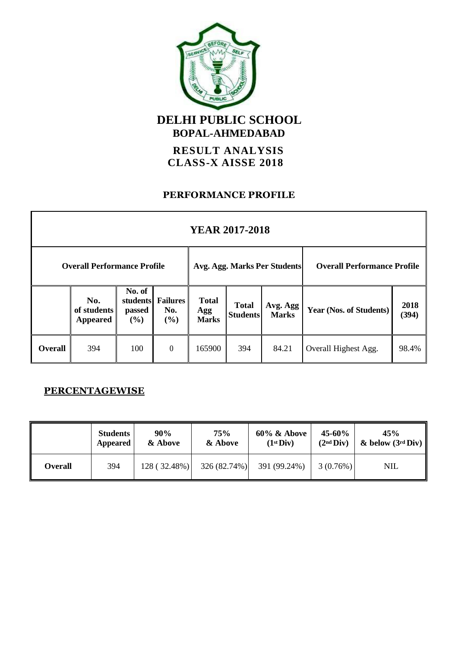

**BOPAL-AHMEDABAD**

**RESULT ANALYSIS CLASS-X AISSE 2018**

#### **PERFORMANCE PROFILE**

| <b>YEAR 2017-2018</b> |                                       |                                        |                               |                                     |                                 |                          |                                    |               |
|-----------------------|---------------------------------------|----------------------------------------|-------------------------------|-------------------------------------|---------------------------------|--------------------------|------------------------------------|---------------|
|                       | <b>Overall Performance Profile</b>    |                                        |                               | Avg. Agg. Marks Per Students        |                                 |                          | <b>Overall Performance Profile</b> |               |
|                       | No.<br>of students<br><b>Appeared</b> | No. of<br>students<br>passed<br>$($ %) | <b>Failures</b><br>No.<br>(%) | <b>Total</b><br>Agg<br><b>Marks</b> | <b>Total</b><br><b>Students</b> | Avg. Agg<br><b>Marks</b> | Year (Nos. of Students)            | 2018<br>(394) |
| <b>Overall</b>        | 394                                   | 100                                    | $\boldsymbol{0}$              | 165900                              | 394                             | 84.21                    | Overall Highest Agg.               | 98.4%         |

### **PERCENTAGEWISE**

|                | <b>Students</b> | 90%          | 75%          | $60\%$ & Above        | $45 - 60\%$           | 45%                 |  |
|----------------|-----------------|--------------|--------------|-----------------------|-----------------------|---------------------|--|
|                | Appeared        | & Above      | & Above      | (1 <sup>st</sup> Div) | (2 <sup>nd</sup> Div) | & below $(3rd Div)$ |  |
| <b>Overall</b> | 394             | 128 (32.48%) | 326 (82.74%) | 391 (99.24%)          | 3(0.76%)              | <b>NIL</b>          |  |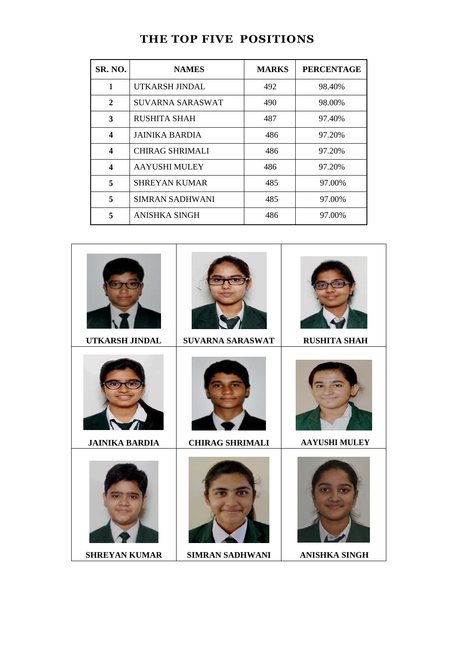| <b>SR. NO.</b>   | <b>NAMES</b>           | <b>MARKS</b> | <b>PERCENTAGE</b> |
|------------------|------------------------|--------------|-------------------|
| 1                | UTKARSH JINDAL         | 492          | 98.40%            |
| $\mathbf{2}$     | SUVARNA SARASWAT       | 490          | 98.00%            |
| 3                | <b>RUSHITA SHAH</b>    | 487          | 97.40%            |
| 4                | <b>JAINIKA BARDIA</b>  | 486          | 97.20%            |
| $\boldsymbol{4}$ | <b>CHIRAG SHRIMALI</b> | 486          | 97.20%            |
| 4                | <b>AAYUSHI MULEY</b>   | 486          | 97.20%            |
| 5                | <b>SHREYAN KUMAR</b>   | 485          | 97.00%            |
| 5                | SIMRAN SADHWANI        | 485          | 97.00%            |
| 5                | ANISHKA SINGH          | 486          | 97.00%            |

## **THE TOP FIVE POSITIONS**

| UTKARSH JINDAL        | SUVARNA SARASWAT       | <b>RUSHITA SHAH</b>  |
|-----------------------|------------------------|----------------------|
| <b>JAINIKA BARDIA</b> | <b>CHIRAG SHRIMALI</b> | <b>AAYUSHI MULEY</b> |
| <b>SHREYAN KUMAR</b>  | <b>SIMRAN SADHWANI</b> | <b>ANISHKA SINGH</b> |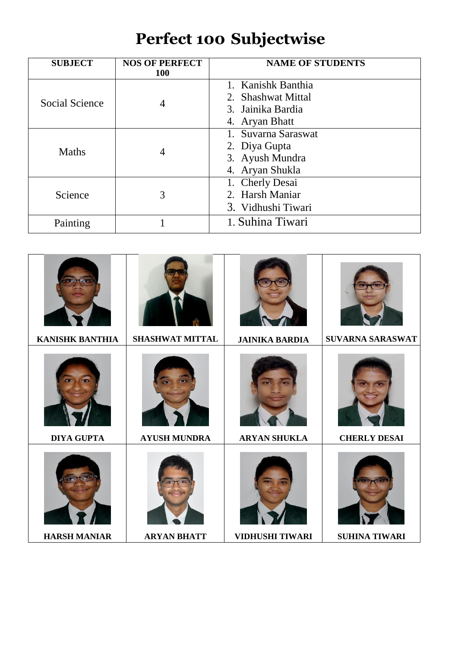# **Perfect 100 Subjectwise**

| <b>SUBJECT</b>        | <b>NOS OF PERFECT</b><br><b>100</b> | <b>NAME OF STUDENTS</b>                                                         |
|-----------------------|-------------------------------------|---------------------------------------------------------------------------------|
| <b>Social Science</b> | 4                                   | 1. Kanishk Banthia<br>2. Shashwat Mittal<br>3. Jainika Bardia<br>4. Aryan Bhatt |
| <b>Maths</b>          | 4                                   | 1. Suvarna Saraswat<br>2. Diya Gupta<br>3. Ayush Mundra<br>4. Aryan Shukla      |
| Science               | 3                                   | 1. Cherly Desai<br>2. Harsh Maniar<br>3. Vidhushi Tiwari                        |
| Painting              |                                     | 1. Suhina Tiwari                                                                |

| <b>KANISHK BANTHIA</b> | <b>SHASHWAT MITTAL</b> | <b>JAINIKA BARDIA</b>  | SUVARNA SARASWAT     |
|------------------------|------------------------|------------------------|----------------------|
| <b>DIYA GUPTA</b>      | <b>AYUSH MUNDRA</b>    | <b>ARYAN SHUKLA</b>    | <b>CHERLY DESAI</b>  |
| <b>HARSH MANIAR</b>    | <b>ARYAN BHATT</b>     | <b>VIDHUSHI TIWARI</b> | <b>SUHINA TIWARI</b> |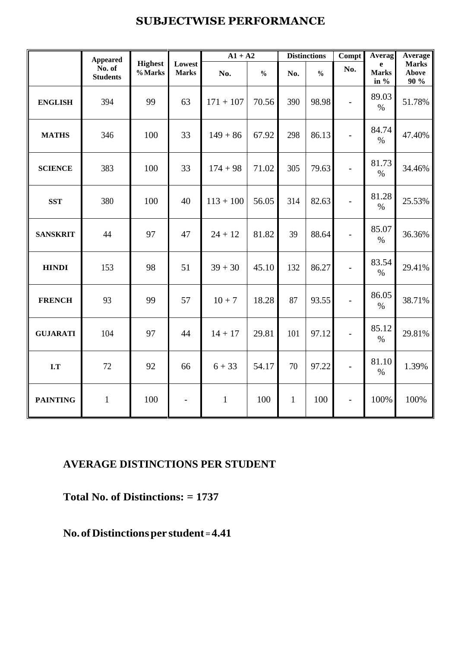## **SUBJECTWISE PERFORMANCE**

|                 | <b>Appeared</b>           |                           |                          | $A1 + A2$    |               |              | <b>Distinctions</b> | Compt                    | <b>Averag</b>             | <b>Average</b>                |
|-----------------|---------------------------|---------------------------|--------------------------|--------------|---------------|--------------|---------------------|--------------------------|---------------------------|-------------------------------|
|                 | No. of<br><b>Students</b> | <b>Highest</b><br>% Marks | Lowest<br><b>Marks</b>   | No.          | $\frac{0}{0}$ | No.          | $\frac{0}{0}$       | No.                      | e<br><b>Marks</b><br>in % | <b>Marks</b><br>Above<br>90 % |
| <b>ENGLISH</b>  | 394                       | 99                        | 63                       | $171 + 107$  | 70.56         | 390          | 98.98               |                          | 89.03<br>$\%$             | 51.78%                        |
| <b>MATHS</b>    | 346                       | 100                       | 33                       | $149 + 86$   | 67.92         | 298          | 86.13               | $\overline{\phantom{0}}$ | 84.74<br>$\%$             | 47.40%                        |
| <b>SCIENCE</b>  | 383                       | 100                       | 33                       | $174 + 98$   | 71.02         | 305          | 79.63               | $\overline{a}$           | 81.73<br>$\%$             | 34.46%                        |
| <b>SST</b>      | 380                       | 100                       | 40                       | $113 + 100$  | 56.05         | 314          | 82.63               |                          | 81.28<br>$\%$             | 25.53%                        |
| <b>SANSKRIT</b> | 44                        | 97                        | 47                       | $24 + 12$    | 81.82         | 39           | 88.64               | $\overline{a}$           | 85.07<br>$\%$             | 36.36%                        |
| <b>HINDI</b>    | 153                       | 98                        | 51                       | $39 + 30$    | 45.10         | 132          | 86.27               | $\overline{\phantom{0}}$ | 83.54<br>$\%$             | 29.41%                        |
| <b>FRENCH</b>   | 93                        | 99                        | 57                       | $10 + 7$     | 18.28         | 87           | 93.55               | $\overline{\phantom{a}}$ | 86.05<br>$\%$             | 38.71%                        |
| <b>GUJARATI</b> | 104                       | 97                        | 44                       | $14 + 17$    | 29.81         | 101          | 97.12               |                          | 85.12<br>$\%$             | 29.81%                        |
| I.T             | 72                        | 92                        | 66                       | $6 + 33$     | 54.17         | 70           | 97.22               | $\overline{a}$           | 81.10<br>$\%$             | 1.39%                         |
| <b>PAINTING</b> | $\mathbf{1}$              | 100                       | $\overline{\phantom{a}}$ | $\mathbf{1}$ | 100           | $\mathbf{1}$ | 100                 | $\overline{a}$           | 100%                      | 100%                          |

### **AVERAGE DISTINCTIONS PER STUDENT**

**Total No. of Distinctions: = 1737** 

**No. ofDistinctionsper student =4.41**